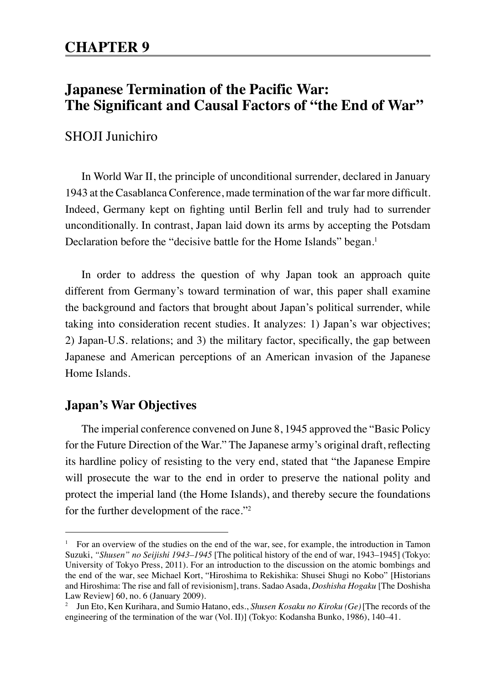# **Japanese Termination of the Pacific War: The Significant and Causal Factors of "the End of War"**

### SHOII Iunichiro

In World War II, the principle of unconditional surrender, declared in January 1943 at the Casablanca Conference, made termination of the war far more difficult. Indeed, Germany kept on fighting until Berlin fell and truly had to surrender unconditionally. In contrast, Japan laid down its arms by accepting the Potsdam Declaration before the "decisive battle for the Home Islands" began.<sup>1</sup>

In order to address the question of why Japan took an approach quite different from Germany's toward termination of war, this paper shall examine the background and factors that brought about Japan's political surrender, while taking into consideration recent studies. It analyzes: 1) Japan's war objectives; 2) Japan-U.S. relations; and 3) the military factor, specifically, the gap between Japanese and American perceptions of an American invasion of the Japanese Home Islands.

### **Japan's War Objectives**

The imperial conference convened on June 8, 1945 approved the "Basic Policy for the Future Direction of the War." The Japanese army's original draft, reflecting its hardline policy of resisting to the very end, stated that "the Japanese Empire will prosecute the war to the end in order to preserve the national polity and protect the imperial land (the Home Islands), and thereby secure the foundations for the further development of the race."<sup>2</sup>

<sup>&</sup>lt;sup>1</sup> For an overview of the studies on the end of the war, see, for example, the introduction in Tamon Suzuki, *"Shusen" no Seijishi 1943–1945* [The political history of the end of war, 1943–1945] (Tokyo: University of Tokyo Press, 2011). For an introduction to the discussion on the atomic bombings and the end of the war, see Michael Kort, "Hiroshima to Rekishika: Shusei Shugi no Kobo" [Historians and Hiroshima: The rise and fall of revisionism], trans. Sadao Asada, *Doshisha Hogaku* [The Doshisha Law Review] 60, no. 6 (January 2009).

<sup>2</sup> Jun Eto, Ken Kurihara, and Sumio Hatano, eds., *Shusen Kosaku no Kiroku (Ge)*[The records of the engineering of the termination of the war (Vol. II)] (Tokyo: Kodansha Bunko, 1986), 140–41.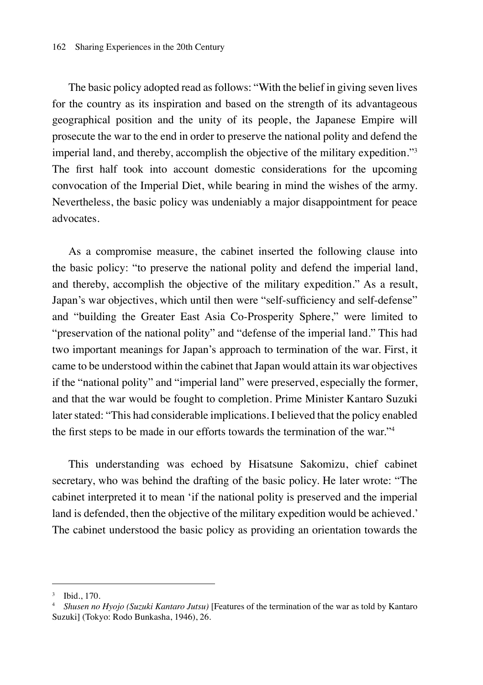The basic policy adopted read as follows: "With the belief in giving seven lives for the country as its inspiration and based on the strength of its advantageous geographical position and the unity of its people, the Japanese Empire will prosecute the war to the end in order to preserve the national polity and defend the imperial land, and thereby, accomplish the objective of the military expedition."<sup>3</sup> The first half took into account domestic considerations for the upcoming convocation of the Imperial Diet, while bearing in mind the wishes of the army. Nevertheless, the basic policy was undeniably a major disappointment for peace advocates.

As a compromise measure, the cabinet inserted the following clause into the basic policy: "to preserve the national polity and defend the imperial land, and thereby, accomplish the objective of the military expedition." As a result, Japan's war objectives, which until then were "self-sufficiency and self-defense" and "building the Greater East Asia Co-Prosperity Sphere," were limited to "preservation of the national polity" and "defense of the imperial land." This had two important meanings for Japan's approach to termination of the war. First, it came to be understood within the cabinet that Japan would attain its war objectives if the "national polity" and "imperial land" were preserved, especially the former, and that the war would be fought to completion. Prime Minister Kantaro Suzuki later stated: "This had considerable implications. I believed that the policy enabled the first steps to be made in our efforts towards the termination of the war."<sup>4</sup>

This understanding was echoed by Hisatsune Sakomizu, chief cabinet secretary, who was behind the drafting of the basic policy. He later wrote: "The cabinet interpreted it to mean 'if the national polity is preserved and the imperial land is defended, then the objective of the military expedition would be achieved.' The cabinet understood the basic policy as providing an orientation towards the

<sup>3</sup> Ibid., 170.

<sup>4</sup> *Shusen no Hyojo (Suzuki Kantaro Jutsu)* [Features of the termination of the war as told by Kantaro Suzuki] (Tokyo: Rodo Bunkasha, 1946), 26.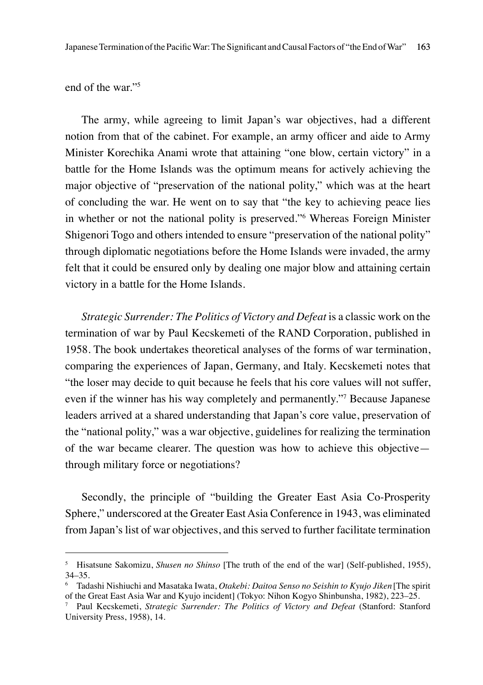end of the war."

The army, while agreeing to limit Japan's war objectives, had a different notion from that of the cabinet. For example, an army officer and aide to Army Minister Korechika Anami wrote that attaining "one blow, certain victory" in a battle for the Home Islands was the optimum means for actively achieving the major objective of "preservation of the national polity," which was at the heart of concluding the war. He went on to say that "the key to achieving peace lies in whether or not the national polity is preserved."<sup>6</sup> Whereas Foreign Minister Shigenori Togo and others intended to ensure "preservation of the national polity" through diplomatic negotiations before the Home Islands were invaded, the army felt that it could be ensured only by dealing one major blow and attaining certain victory in a battle for the Home Islands.

*Strategic Surrender: The Politics of Victory and Defeat* is a classic work on the termination of war by Paul Kecskemeti of the RAND Corporation, published in 1958. The book undertakes theoretical analyses of the forms of war termination, comparing the experiences of Japan, Germany, and Italy. Kecskemeti notes that "the loser may decide to quit because he feels that his core values will not suffer, even if the winner has his way completely and permanently."7 Because Japanese leaders arrived at a shared understanding that Japan's core value, preservation of the "national polity," was a war objective, guidelines for realizing the termination of the war became clearer. The question was how to achieve this objective through military force or negotiations?

Secondly, the principle of "building the Greater East Asia Co-Prosperity Sphere," underscored at the Greater East Asia Conference in 1943, was eliminated from Japan's list of war objectives, and this served to further facilitate termination

<sup>&</sup>lt;sup>5</sup> Hisatsune Sakomizu, *Shusen no Shinso* [The truth of the end of the war] (Self-published, 1955), 34–35.

<sup>6</sup> Tadashi Nishiuchi and Masataka Iwata, *Otakebi: Daitoa Senso no Seishin to Kyujo Jiken*[The spirit of the Great East Asia War and Kyujo incident] (Tokyo: Nihon Kogyo Shinbunsha, 1982), 223–25.

<sup>7</sup> Paul Kecskemeti, *Strategic Surrender: The Politics of Victory and Defeat* (Stanford: Stanford University Press, 1958), 14.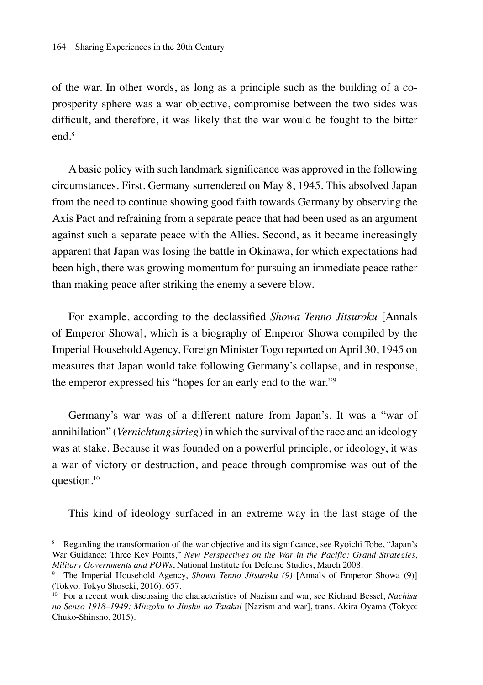of the war. In other words, as long as a principle such as the building of a coprosperity sphere was a war objective, compromise between the two sides was difficult, and therefore, it was likely that the war would be fought to the bitter end<sup>8</sup>

A basic policy with such landmark significance was approved in the following circumstances. First, Germany surrendered on May 8, 1945. This absolved Japan from the need to continue showing good faith towards Germany by observing the Axis Pact and refraining from a separate peace that had been used as an argument against such a separate peace with the Allies. Second, as it became increasingly apparent that Japan was losing the battle in Okinawa, for which expectations had been high, there was growing momentum for pursuing an immediate peace rather than making peace after striking the enemy a severe blow.

For example, according to the declassified *Showa Tenno Jitsuroku* [Annals of Emperor Showa], which is a biography of Emperor Showa compiled by the Imperial Household Agency, Foreign Minister Togo reported on April 30, 1945 on measures that Japan would take following Germany's collapse, and in response, the emperor expressed his "hopes for an early end to the war."<sup>9</sup>

Germany's war was of a different nature from Japan's. It was a "war of annihilation" (*Vernichtungskrieg*) in which the survival of the race and an ideology was at stake. Because it was founded on a powerful principle, or ideology, it was a war of victory or destruction, and peace through compromise was out of the question.10

This kind of ideology surfaced in an extreme way in the last stage of the

<sup>8</sup> Regarding the transformation of the war objective and its significance, see Ryoichi Tobe, "Japan's War Guidance: Three Key Points," *New Perspectives on the War in the Pacific: Grand Strategies, Military Governments and POWs*, National Institute for Defense Studies, March 2008.

<sup>9</sup> The Imperial Household Agency, *Showa Tenno Jitsuroku (9)* [Annals of Emperor Showa (9)] (Tokyo: Tokyo Shoseki, 2016), 657.

<sup>10</sup> For a recent work discussing the characteristics of Nazism and war, see Richard Bessel, *Nachisu no Senso 1918–1949: Minzoku to Jinshu no Tatakai* [Nazism and war], trans. Akira Oyama (Tokyo: Chuko-Shinsho, 2015).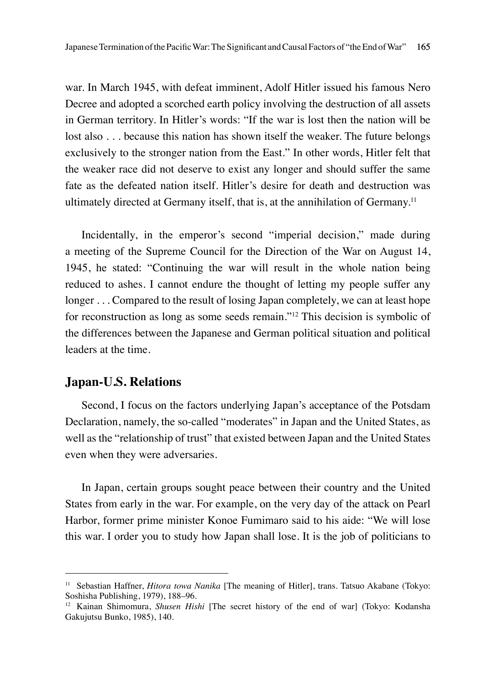war. In March 1945, with defeat imminent, Adolf Hitler issued his famous Nero Decree and adopted a scorched earth policy involving the destruction of all assets in German territory. In Hitler's words: "If the war is lost then the nation will be lost also . . . because this nation has shown itself the weaker. The future belongs exclusively to the stronger nation from the East." In other words, Hitler felt that the weaker race did not deserve to exist any longer and should suffer the same fate as the defeated nation itself. Hitler's desire for death and destruction was ultimately directed at Germany itself, that is, at the annihilation of Germany.<sup>11</sup>

Incidentally, in the emperor's second "imperial decision," made during a meeting of the Supreme Council for the Direction of the War on August 14, 1945, he stated: "Continuing the war will result in the whole nation being reduced to ashes. I cannot endure the thought of letting my people suffer any longer . . . Compared to the result of losing Japan completely, we can at least hope for reconstruction as long as some seeds remain."12 This decision is symbolic of the differences between the Japanese and German political situation and political leaders at the time.

#### **Japan-U.S. Relations**

Second, I focus on the factors underlying Japan's acceptance of the Potsdam Declaration, namely, the so-called "moderates" in Japan and the United States, as well as the "relationship of trust" that existed between Japan and the United States even when they were adversaries.

In Japan, certain groups sought peace between their country and the United States from early in the war. For example, on the very day of the attack on Pearl Harbor, former prime minister Konoe Fumimaro said to his aide: "We will lose this war. I order you to study how Japan shall lose. It is the job of politicians to

<sup>&</sup>lt;sup>11</sup> Sebastian Haffner, *Hitora towa Nanika* [The meaning of Hitler], trans. Tatsuo Akabane (Tokyo: Soshisha Publishing, 1979), 188–96.

<sup>12</sup> Kainan Shimomura, *Shusen Hishi* [The secret history of the end of war] (Tokyo: Kodansha Gakujutsu Bunko, 1985), 140.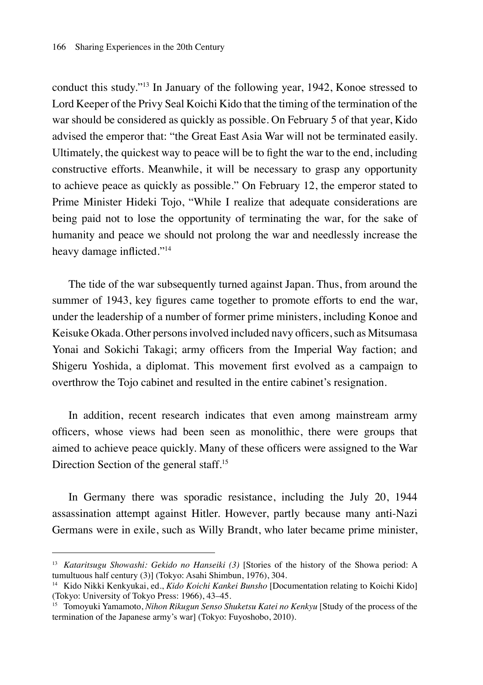conduct this study."<sup>13</sup> In January of the following year, 1942, Konoe stressed to Lord Keeper of the Privy Seal Koichi Kido that the timing of the termination of the war should be considered as quickly as possible. On February 5 of that year, Kido advised the emperor that: "the Great East Asia War will not be terminated easily. Ultimately, the quickest way to peace will be to fight the war to the end, including constructive efforts. Meanwhile, it will be necessary to grasp any opportunity to achieve peace as quickly as possible." On February 12, the emperor stated to Prime Minister Hideki Tojo, "While I realize that adequate considerations are being paid not to lose the opportunity of terminating the war, for the sake of humanity and peace we should not prolong the war and needlessly increase the heavy damage inflicted."<sup>14</sup>

The tide of the war subsequently turned against Japan. Thus, from around the summer of 1943, key figures came together to promote efforts to end the war, under the leadership of a number of former prime ministers, including Konoe and Keisuke Okada. Other persons involved included navy officers, such as Mitsumasa Yonai and Sokichi Takagi; army officers from the Imperial Way faction; and Shigeru Yoshida, a diplomat. This movement first evolved as a campaign to overthrow the Tojo cabinet and resulted in the entire cabinet's resignation.

In addition, recent research indicates that even among mainstream army officers, whose views had been seen as monolithic, there were groups that aimed to achieve peace quickly. Many of these officers were assigned to the War Direction Section of the general staff.<sup>15</sup>

In Germany there was sporadic resistance, including the July 20, 1944 assassination attempt against Hitler. However, partly because many anti-Nazi Germans were in exile, such as Willy Brandt, who later became prime minister,

<sup>13</sup> *Kataritsugu Showashi: Gekido no Hanseiki (3)* [Stories of the history of the Showa period: A tumultuous half century (3)] (Tokyo: Asahi Shimbun, 1976), 304.

<sup>14</sup> Kido Nikki Kenkyukai, ed., *Kido Koichi Kankei Bunsho* [Documentation relating to Koichi Kido] (Tokyo: University of Tokyo Press: 1966), 43–45.

<sup>15</sup> Tomoyuki Yamamoto, *Nihon Rikugun Senso Shuketsu Katei no Kenkyu* [Study of the process of the termination of the Japanese army's war] (Tokyo: Fuyoshobo, 2010).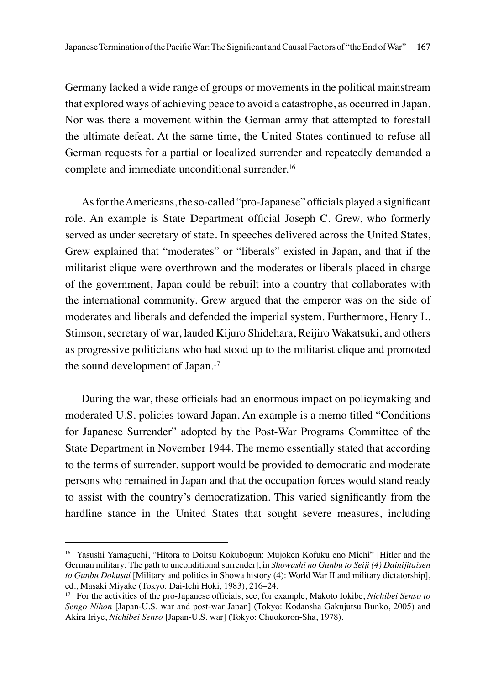Germany lacked a wide range of groups or movements in the political mainstream that explored ways of achieving peace to avoid a catastrophe, as occurred in Japan. Nor was there a movement within the German army that attempted to forestall the ultimate defeat. At the same time, the United States continued to refuse all German requests for a partial or localized surrender and repeatedly demanded a complete and immediate unconditional surrender.<sup>16</sup>

As for the Americans, the so-called "pro-Japanese" officials played a significant role. An example is State Department official Joseph C. Grew, who formerly served as under secretary of state. In speeches delivered across the United States, Grew explained that "moderates" or "liberals" existed in Japan, and that if the militarist clique were overthrown and the moderates or liberals placed in charge of the government, Japan could be rebuilt into a country that collaborates with the international community. Grew argued that the emperor was on the side of moderates and liberals and defended the imperial system. Furthermore, Henry L. Stimson, secretary of war, lauded Kijuro Shidehara, Reijiro Wakatsuki, and others as progressive politicians who had stood up to the militarist clique and promoted the sound development of Japan.17

During the war, these officials had an enormous impact on policymaking and moderated U.S. policies toward Japan. An example is a memo titled "Conditions for Japanese Surrender" adopted by the Post-War Programs Committee of the State Department in November 1944. The memo essentially stated that according to the terms of surrender, support would be provided to democratic and moderate persons who remained in Japan and that the occupation forces would stand ready to assist with the country's democratization. This varied significantly from the hardline stance in the United States that sought severe measures, including

<sup>16</sup> Yasushi Yamaguchi, "Hitora to Doitsu Kokubogun: Mujoken Kofuku eno Michi" [Hitler and the German military: The path to unconditional surrender], in *Showashi no Gunbu to Seiji (4) Dainijitaisen to Gunbu Dokusai* [Military and politics in Showa history (4): World War II and military dictatorship], ed., Masaki Miyake (Tokyo: Dai-Ichi Hoki, 1983), 216–24.

<sup>17</sup> For the activities of the pro-Japanese officials, see, for example, Makoto Iokibe, *Nichibei Senso to Sengo Nihon* [Japan-U.S. war and post-war Japan] (Tokyo: Kodansha Gakujutsu Bunko, 2005) and Akira Iriye, *Nichibei Senso* [Japan-U.S. war] (Tokyo: Chuokoron-Sha, 1978).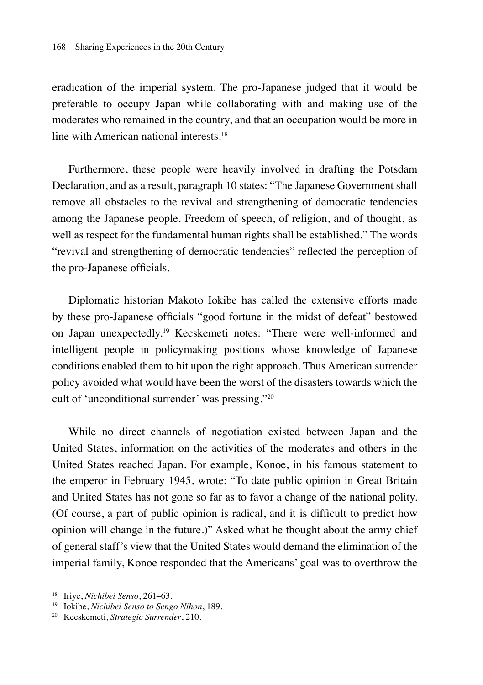eradication of the imperial system. The pro-Japanese judged that it would be preferable to occupy Japan while collaborating with and making use of the moderates who remained in the country, and that an occupation would be more in line with American national interests.<sup>18</sup>

Furthermore, these people were heavily involved in drafting the Potsdam Declaration, and as a result, paragraph 10 states: "The Japanese Government shall remove all obstacles to the revival and strengthening of democratic tendencies among the Japanese people. Freedom of speech, of religion, and of thought, as well as respect for the fundamental human rights shall be established." The words "revival and strengthening of democratic tendencies" reflected the perception of the pro-Japanese officials.

Diplomatic historian Makoto Iokibe has called the extensive efforts made by these pro-Japanese officials "good fortune in the midst of defeat" bestowed on Japan unexpectedly.<sup>19</sup> Kecskemeti notes: "There were well-informed and intelligent people in policymaking positions whose knowledge of Japanese conditions enabled them to hit upon the right approach. Thus American surrender policy avoided what would have been the worst of the disasters towards which the cult of 'unconditional surrender' was pressing."20

While no direct channels of negotiation existed between Japan and the United States, information on the activities of the moderates and others in the United States reached Japan. For example, Konoe, in his famous statement to the emperor in February 1945, wrote: "To date public opinion in Great Britain and United States has not gone so far as to favor a change of the national polity. (Of course, a part of public opinion is radical, and it is difficult to predict how opinion will change in the future.)" Asked what he thought about the army chief of general staff's view that the United States would demand the elimination of the imperial family, Konoe responded that the Americans' goal was to overthrow the

<sup>18</sup> Iriye, *Nichibei Senso*, 261–63.

<sup>19</sup> Iokibe, *Nichibei Senso to Sengo Nihon*, 189.

<sup>20</sup> Kecskemeti, *Strategic Surrender*, 210.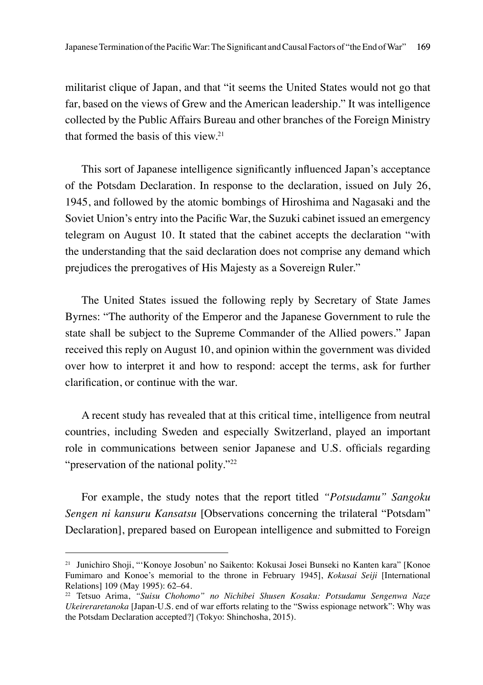militarist clique of Japan, and that "it seems the United States would not go that far, based on the views of Grew and the American leadership." It was intelligence collected by the Public Affairs Bureau and other branches of the Foreign Ministry that formed the basis of this view.<sup>21</sup>

This sort of Japanese intelligence significantly influenced Japan's acceptance of the Potsdam Declaration. In response to the declaration, issued on July 26, 1945, and followed by the atomic bombings of Hiroshima and Nagasaki and the Soviet Union's entry into the Pacific War, the Suzuki cabinet issued an emergency telegram on August 10. It stated that the cabinet accepts the declaration "with the understanding that the said declaration does not comprise any demand which prejudices the prerogatives of His Majesty as a Sovereign Ruler."

The United States issued the following reply by Secretary of State James Byrnes: "The authority of the Emperor and the Japanese Government to rule the state shall be subject to the Supreme Commander of the Allied powers." Japan received this reply on August 10, and opinion within the government was divided over how to interpret it and how to respond: accept the terms, ask for further clarification, or continue with the war.

A recent study has revealed that at this critical time, intelligence from neutral countries, including Sweden and especially Switzerland, played an important role in communications between senior Japanese and U.S. officials regarding "preservation of the national polity."<sup>22</sup>

For example, the study notes that the report titled *"Potsudamu" Sangoku Sengen ni kansuru Kansatsu* [Observations concerning the trilateral "Potsdam" Declaration], prepared based on European intelligence and submitted to Foreign

<sup>21</sup> Junichiro Shoji, "'Konoye Josobun' no Saikento: Kokusai Josei Bunseki no Kanten kara" [Konoe Fumimaro and Konoe's memorial to the throne in February 1945], *Kokusai Seiji* [International Relations] 109 (May 1995): 62–64.

<sup>22</sup> Tetsuo Arima, *"Suisu Chohomo" no Nichibei Shusen Kosaku: Potsudamu Sengenwa Naze Ukeireraretanoka* [Japan-U.S. end of war efforts relating to the "Swiss espionage network": Why was the Potsdam Declaration accepted?] (Tokyo: Shinchosha, 2015).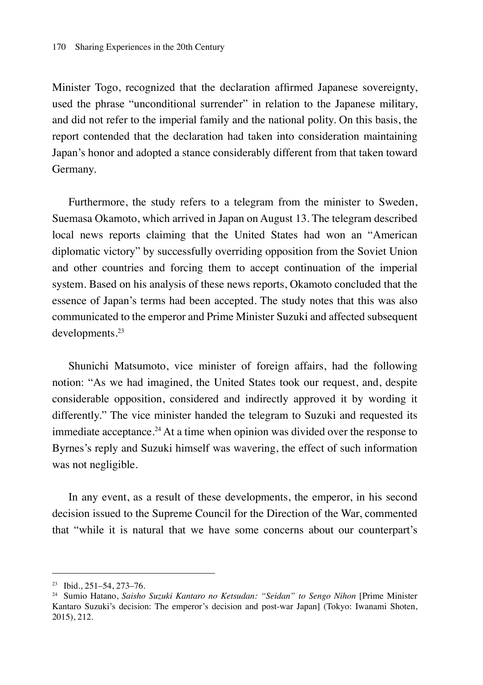Minister Togo, recognized that the declaration affirmed Japanese sovereignty, used the phrase "unconditional surrender" in relation to the Japanese military, and did not refer to the imperial family and the national polity. On this basis, the report contended that the declaration had taken into consideration maintaining Japan's honor and adopted a stance considerably different from that taken toward Germany.

Furthermore, the study refers to a telegram from the minister to Sweden, Suemasa Okamoto, which arrived in Japan on August 13. The telegram described local news reports claiming that the United States had won an "American diplomatic victory" by successfully overriding opposition from the Soviet Union and other countries and forcing them to accept continuation of the imperial system. Based on his analysis of these news reports, Okamoto concluded that the essence of Japan's terms had been accepted. The study notes that this was also communicated to the emperor and Prime Minister Suzuki and affected subsequent developments.<sup>23</sup>

Shunichi Matsumoto, vice minister of foreign affairs, had the following notion: "As we had imagined, the United States took our request, and, despite considerable opposition, considered and indirectly approved it by wording it differently." The vice minister handed the telegram to Suzuki and requested its immediate acceptance.<sup>24</sup> At a time when opinion was divided over the response to Byrnes's reply and Suzuki himself was wavering, the effect of such information was not negligible.

In any event, as a result of these developments, the emperor, in his second decision issued to the Supreme Council for the Direction of the War, commented that "while it is natural that we have some concerns about our counterpart's

<sup>23</sup> Ibid., 251–54, 273–76.

<sup>24</sup> Sumio Hatano, *Saisho Suzuki Kantaro no Ketsudan: "Seidan" to Sengo Nihon* [Prime Minister Kantaro Suzuki's decision: The emperor's decision and post-war Japan] (Tokyo: Iwanami Shoten, 2015), 212.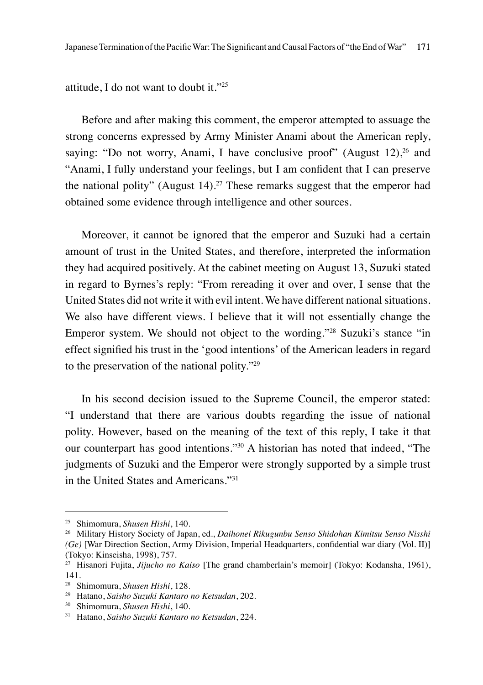attitude, I do not want to doubt it."<sup>25</sup>

Before and after making this comment, the emperor attempted to assuage the strong concerns expressed by Army Minister Anami about the American reply, saying: "Do not worry, Anami, I have conclusive proof" (August  $12$ ),  $26$  and "Anami, I fully understand your feelings, but I am confident that I can preserve the national polity" (August  $14$ ).<sup>27</sup> These remarks suggest that the emperor had obtained some evidence through intelligence and other sources.

Moreover, it cannot be ignored that the emperor and Suzuki had a certain amount of trust in the United States, and therefore, interpreted the information they had acquired positively. At the cabinet meeting on August 13, Suzuki stated in regard to Byrnes's reply: "From rereading it over and over, I sense that the United States did not write it with evil intent. We have different national situations. We also have different views. I believe that it will not essentially change the Emperor system. We should not object to the wording."<sup>28</sup> Suzuki's stance "in effect signified his trust in the 'good intentions' of the American leaders in regard to the preservation of the national polity."<sup>29</sup>

In his second decision issued to the Supreme Council, the emperor stated: "I understand that there are various doubts regarding the issue of national polity. However, based on the meaning of the text of this reply, I take it that our counterpart has good intentions."30 A historian has noted that indeed, "The judgments of Suzuki and the Emperor were strongly supported by a simple trust in the United States and Americans."<sup>31</sup>

<sup>25</sup> Shimomura, *Shusen Hishi*, 140.

<sup>26</sup> Military History Society of Japan, ed., *Daihonei Rikugunbu Senso Shidohan Kimitsu Senso Nisshi (Ge)* [War Direction Section, Army Division, Imperial Headquarters, confidential war diary (Vol. II)] (Tokyo: Kinseisha, 1998), 757.

<sup>27</sup> Hisanori Fujita, *Jijucho no Kaiso* [The grand chamberlain's memoir] (Tokyo: Kodansha, 1961), 141.

<sup>28</sup> Shimomura, *Shusen Hishi*, 128.

<sup>29</sup> Hatano, *Saisho Suzuki Kantaro no Ketsudan*, 202.

<sup>30</sup> Shimomura, *Shusen Hishi*, 140.

<sup>31</sup> Hatano, *Saisho Suzuki Kantaro no Ketsudan*, 224.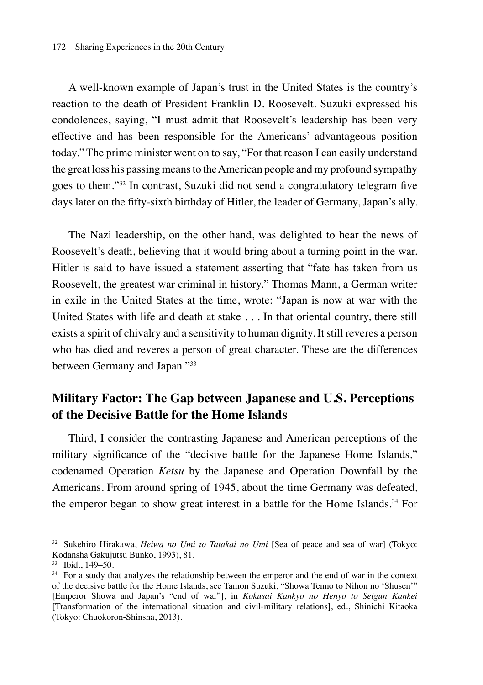A well-known example of Japan's trust in the United States is the country's reaction to the death of President Franklin D. Roosevelt. Suzuki expressed his condolences, saying, "I must admit that Roosevelt's leadership has been very effective and has been responsible for the Americans' advantageous position today." The prime minister went on to say, "For that reason I can easily understand the great loss his passing means to the American people and my profound sympathy goes to them."<sup>32</sup> In contrast, Suzuki did not send a congratulatory telegram five days later on the fifty-sixth birthday of Hitler, the leader of Germany, Japan's ally.

The Nazi leadership, on the other hand, was delighted to hear the news of Roosevelt's death, believing that it would bring about a turning point in the war. Hitler is said to have issued a statement asserting that "fate has taken from us Roosevelt, the greatest war criminal in history." Thomas Mann, a German writer in exile in the United States at the time, wrote: "Japan is now at war with the United States with life and death at stake . . . In that oriental country, there still exists a spirit of chivalry and a sensitivity to human dignity. It still reveres a person who has died and reveres a person of great character. These are the differences between Germany and Japan."<sup>33</sup>

## **Military Factor: The Gap between Japanese and U.S. Perceptions of the Decisive Battle for the Home Islands**

Third, I consider the contrasting Japanese and American perceptions of the military significance of the "decisive battle for the Japanese Home Islands," codenamed Operation *Ketsu* by the Japanese and Operation Downfall by the Americans. From around spring of 1945, about the time Germany was defeated, the emperor began to show great interest in a battle for the Home Islands.<sup>34</sup> For

<sup>32</sup> Sukehiro Hirakawa, *Heiwa no Umi to Tatakai no Umi* [Sea of peace and sea of war] (Tokyo: Kodansha Gakujutsu Bunko, 1993), 81.

<sup>33</sup> Ibid., 149–50.

<sup>&</sup>lt;sup>34</sup> For a study that analyzes the relationship between the emperor and the end of war in the context of the decisive battle for the Home Islands, see Tamon Suzuki, "Showa Tenno to Nihon no 'Shusen'" [Emperor Showa and Japan's "end of war"], in *Kokusai Kankyo no Henyo to Seigun Kankei* [Transformation of the international situation and civil-military relations], ed., Shinichi Kitaoka (Tokyo: Chuokoron-Shinsha, 2013).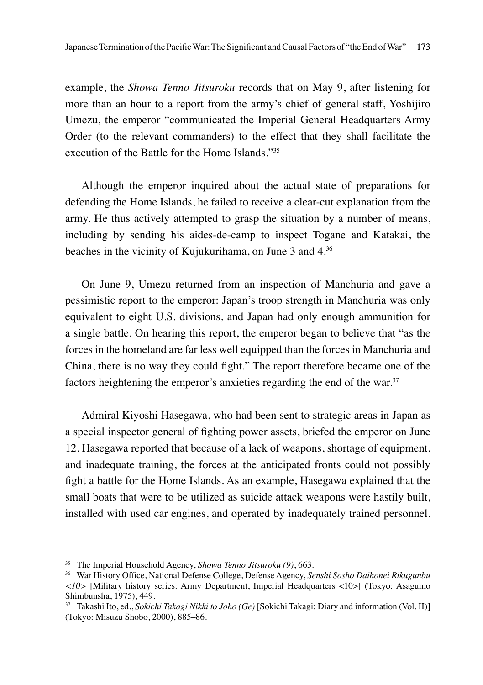example, the *Showa Tenno Jitsuroku* records that on May 9, after listening for more than an hour to a report from the army's chief of general staff, Yoshijiro Umezu, the emperor "communicated the Imperial General Headquarters Army Order (to the relevant commanders) to the effect that they shall facilitate the execution of the Battle for the Home Islands."<sup>35</sup>

Although the emperor inquired about the actual state of preparations for defending the Home Islands, he failed to receive a clear-cut explanation from the army. He thus actively attempted to grasp the situation by a number of means, including by sending his aides-de-camp to inspect Togane and Katakai, the beaches in the vicinity of Kujukurihama, on June 3 and 4.<sup>36</sup>

On June 9, Umezu returned from an inspection of Manchuria and gave a pessimistic report to the emperor: Japan's troop strength in Manchuria was only equivalent to eight U.S. divisions, and Japan had only enough ammunition for a single battle. On hearing this report, the emperor began to believe that "as the forces in the homeland are far less well equipped than the forces in Manchuria and China, there is no way they could fight." The report therefore became one of the factors heightening the emperor's anxieties regarding the end of the war.<sup>37</sup>

Admiral Kiyoshi Hasegawa, who had been sent to strategic areas in Japan as a special inspector general of fighting power assets, briefed the emperor on June 12. Hasegawa reported that because of a lack of weapons, shortage of equipment, and inadequate training, the forces at the anticipated fronts could not possibly fight a battle for the Home Islands. As an example, Hasegawa explained that the small boats that were to be utilized as suicide attack weapons were hastily built, installed with used car engines, and operated by inadequately trained personnel.

<sup>35</sup> The Imperial Household Agency, *Showa Tenno Jitsuroku (9)*, 663.

<sup>36</sup> War History Office, National Defense College, Defense Agency, *Senshi Sosho Daihonei Rikugunbu <10>* [Military history series: Army Department, Imperial Headquarters <10>] (Tokyo: Asagumo Shimbunsha, 1975), 449.

<sup>37</sup> Takashi Ito, ed., *Sokichi Takagi Nikki to Joho (Ge)* [Sokichi Takagi: Diary and information (Vol. II)] (Tokyo: Misuzu Shobo, 2000), 885–86.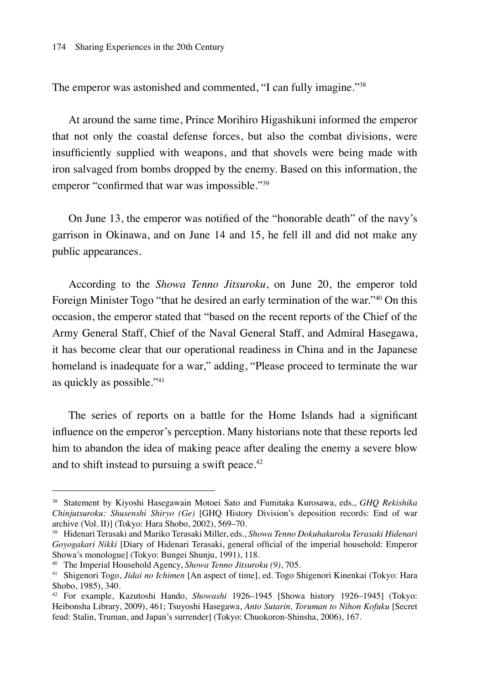The emperor was astonished and commented, "I can fully imagine."<sup>38</sup>

At around the same time, Prince Morihiro Higashikuni informed the emperor that not only the coastal defense forces, but also the combat divisions, were insufficiently supplied with weapons, and that shovels were being made with iron salvaged from bombs dropped by the enemy. Based on this information, the emperor "confirmed that war was impossible."<sup>39</sup>

On June 13, the emperor was notified of the "honorable death" of the navy's garrison in Okinawa, and on June 14 and 15, he fell ill and did not make any public appearances.

According to the *Showa Tenno Jitsuroku*, on June 20, the emperor told Foreign Minister Togo "that he desired an early termination of the war."40 On this occasion, the emperor stated that "based on the recent reports of the Chief of the Army General Staff, Chief of the Naval General Staff, and Admiral Hasegawa, it has become clear that our operational readiness in China and in the Japanese homeland is inadequate for a war," adding, "Please proceed to terminate the war as quickly as possible."<sup>41</sup>

The series of reports on a battle for the Home Islands had a significant influence on the emperor's perception. Many historians note that these reports led him to abandon the idea of making peace after dealing the enemy a severe blow and to shift instead to pursuing a swift peace.<sup>42</sup>

<sup>38</sup> Statement by Kiyoshi Hasegawain Motoei Sato and Fumitaka Kurosawa, eds., *GHQ Rekishika Chinjutsuroku: Shusenshi Shiryo (Ge)* [GHQ History Division's deposition records: End of war archive (Vol. II)] (Tokyo: Hara Shobo, 2002), 569–70.

<sup>39</sup> Hidenari Terasaki and Mariko Terasaki Miller, eds., *Showa Tenno Dokuhakuroku Terasaki Hidenari Goyogakari Nikki* [Diary of Hidenari Terasaki, general official of the imperial household: Emperor Showa's monologue] (Tokyo: Bungei Shunju, 1991), 118.

<sup>40</sup> The Imperial Household Agency, *Showa Tenno Jitsuroku (9)*, 705.

<sup>41</sup> Shigenori Togo, *Jidai no Ichimen* [An aspect of time], ed. Togo Shigenori Kinenkai (Tokyo: Hara Shobo, 1985), 340.

<sup>42</sup> For example, Kazutoshi Hando, *Showashi* 1926–1945 [Showa history 1926–1945] (Tokyo: Heibonsha Library, 2009), 461; Tsuyoshi Hasegawa, *Anto Sutarin, Toruman to Nihon Kofuku* [Secret feud: Stalin, Truman, and Japan's surrender] (Tokyo: Chuokoron-Shinsha, 2006), 167.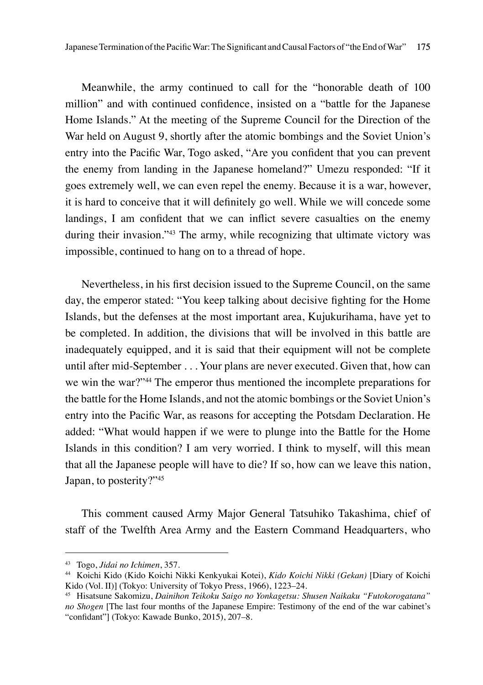Meanwhile, the army continued to call for the "honorable death of 100 million" and with continued confidence, insisted on a "battle for the Japanese Home Islands." At the meeting of the Supreme Council for the Direction of the War held on August 9, shortly after the atomic bombings and the Soviet Union's entry into the Pacific War, Togo asked, "Are you confident that you can prevent the enemy from landing in the Japanese homeland?" Umezu responded: "If it goes extremely well, we can even repel the enemy. Because it is a war, however, it is hard to conceive that it will definitely go well. While we will concede some landings, I am confident that we can inflict severe casualties on the enemy during their invasion."<sup>43</sup> The army, while recognizing that ultimate victory was impossible, continued to hang on to a thread of hope.

Nevertheless, in his first decision issued to the Supreme Council, on the same day, the emperor stated: "You keep talking about decisive fighting for the Home Islands, but the defenses at the most important area, Kujukurihama, have yet to be completed. In addition, the divisions that will be involved in this battle are inadequately equipped, and it is said that their equipment will not be complete until after mid-September . . . Your plans are never executed. Given that, how can we win the war?"44 The emperor thus mentioned the incomplete preparations for the battle for the Home Islands, and not the atomic bombings or the Soviet Union's entry into the Pacific War, as reasons for accepting the Potsdam Declaration. He added: "What would happen if we were to plunge into the Battle for the Home Islands in this condition? I am very worried. I think to myself, will this mean that all the Japanese people will have to die? If so, how can we leave this nation, Japan, to posterity?"<sup>45</sup>

This comment caused Army Major General Tatsuhiko Takashima, chief of staff of the Twelfth Area Army and the Eastern Command Headquarters, who

<sup>43</sup> Togo, *Jidai no Ichimen*, 357.

<sup>44</sup> Koichi Kido (Kido Koichi Nikki Kenkyukai Kotei), *Kido Koichi Nikki (Gekan)* [Diary of Koichi Kido (Vol. II)] (Tokyo: University of Tokyo Press, 1966), 1223–24.

<sup>45</sup> Hisatsune Sakomizu, *Dainihon Teikoku Saigo no Yonkagetsu: Shusen Naikaku "Futokorogatana" no Shogen* [The last four months of the Japanese Empire: Testimony of the end of the war cabinet's "confidant"] (Tokyo: Kawade Bunko, 2015), 207–8.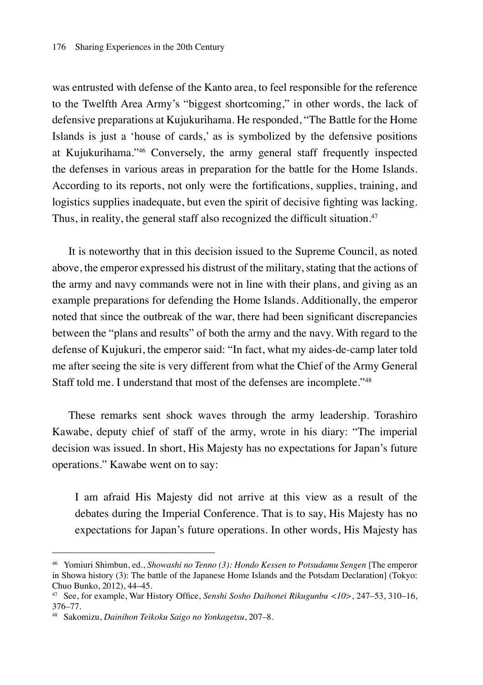was entrusted with defense of the Kanto area, to feel responsible for the reference to the Twelfth Area Army's "biggest shortcoming," in other words, the lack of defensive preparations at Kujukurihama. He responded, "The Battle for the Home Islands is just a 'house of cards,' as is symbolized by the defensive positions at Kujukurihama."<sup>46</sup> Conversely, the army general staff frequently inspected the defenses in various areas in preparation for the battle for the Home Islands. According to its reports, not only were the fortifications, supplies, training, and logistics supplies inadequate, but even the spirit of decisive fighting was lacking. Thus, in reality, the general staff also recognized the difficult situation.<sup>47</sup>

It is noteworthy that in this decision issued to the Supreme Council, as noted above, the emperor expressed his distrust of the military, stating that the actions of the army and navy commands were not in line with their plans, and giving as an example preparations for defending the Home Islands. Additionally, the emperor noted that since the outbreak of the war, there had been significant discrepancies between the "plans and results" of both the army and the navy. With regard to the defense of Kujukuri, the emperor said: "In fact, what my aides-de-camp later told me after seeing the site is very different from what the Chief of the Army General Staff told me. I understand that most of the defenses are incomplete."<sup>48</sup>

These remarks sent shock waves through the army leadership. Torashiro Kawabe, deputy chief of staff of the army, wrote in his diary: "The imperial decision was issued. In short, His Majesty has no expectations for Japan's future operations." Kawabe went on to say:

I am afraid His Majesty did not arrive at this view as a result of the debates during the Imperial Conference. That is to say, His Majesty has no expectations for Japan's future operations. In other words, His Majesty has

<sup>46</sup> Yomiuri Shimbun, ed., *Showashi no Tenno (3): Hondo Kessen to Potsudamu Sengen* [The emperor in Showa history (3): The battle of the Japanese Home Islands and the Potsdam Declaration] (Tokyo: Chuo Bunko, 2012), 44–45.

<sup>47</sup> See, for example, War History Office, *Senshi Sosho Daihonei Rikugunbu <10>*, 247–53, 310–16, 376–77.

<sup>48</sup> Sakomizu, *Dainihon Teikoku Saigo no Yonkagetsu*, 207–8.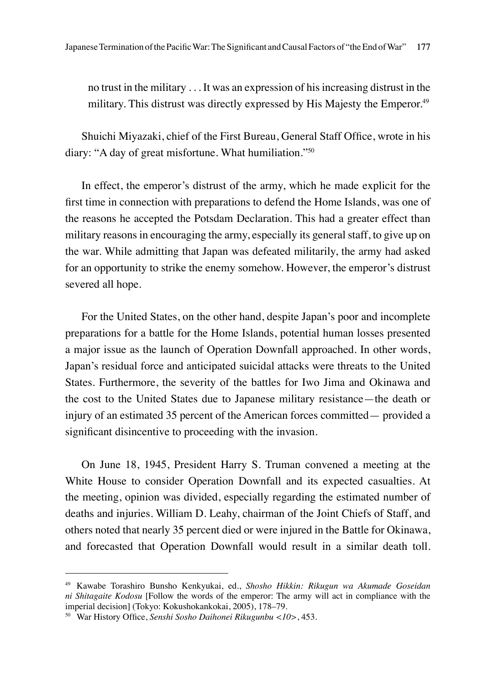no trust in the military . . . It was an expression of his increasing distrust in the military. This distrust was directly expressed by His Majesty the Emperor.<sup>49</sup>

Shuichi Miyazaki, chief of the First Bureau, General Staff Office, wrote in his diary: "A day of great misfortune. What humiliation."50

In effect, the emperor's distrust of the army, which he made explicit for the first time in connection with preparations to defend the Home Islands, was one of the reasons he accepted the Potsdam Declaration. This had a greater effect than military reasons in encouraging the army, especially its general staff, to give up on the war. While admitting that Japan was defeated militarily, the army had asked for an opportunity to strike the enemy somehow. However, the emperor's distrust severed all hope.

For the United States, on the other hand, despite Japan's poor and incomplete preparations for a battle for the Home Islands, potential human losses presented a major issue as the launch of Operation Downfall approached. In other words, Japan's residual force and anticipated suicidal attacks were threats to the United States. Furthermore, the severity of the battles for Iwo Jima and Okinawa and the cost to the United States due to Japanese military resistance—the death or injury of an estimated 35 percent of the American forces committed— provided a significant disincentive to proceeding with the invasion.

On June 18, 1945, President Harry S. Truman convened a meeting at the White House to consider Operation Downfall and its expected casualties. At the meeting, opinion was divided, especially regarding the estimated number of deaths and injuries. William D. Leahy, chairman of the Joint Chiefs of Staff, and others noted that nearly 35 percent died or were injured in the Battle for Okinawa, and forecasted that Operation Downfall would result in a similar death toll.

<sup>49</sup> Kawabe Torashiro Bunsho Kenkyukai, ed., *Shosho Hikkin: Rikugun wa Akumade Goseidan ni Shitagaite Kodosu* [Follow the words of the emperor: The army will act in compliance with the imperial decision] (Tokyo: Kokushokankokai, 2005), 178–79.

<sup>50</sup> War History Office, *Senshi Sosho Daihonei Rikugunbu <10>*, 453.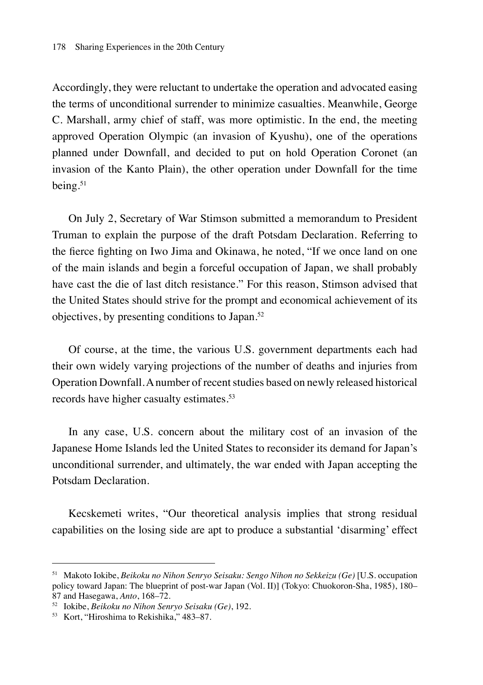Accordingly, they were reluctant to undertake the operation and advocated easing the terms of unconditional surrender to minimize casualties. Meanwhile, George C. Marshall, army chief of staff, was more optimistic. In the end, the meeting approved Operation Olympic (an invasion of Kyushu), one of the operations planned under Downfall, and decided to put on hold Operation Coronet (an invasion of the Kanto Plain), the other operation under Downfall for the time being.<sup>51</sup>

On July 2, Secretary of War Stimson submitted a memorandum to President Truman to explain the purpose of the draft Potsdam Declaration. Referring to the fierce fighting on Iwo Jima and Okinawa, he noted, "If we once land on one of the main islands and begin a forceful occupation of Japan, we shall probably have cast the die of last ditch resistance." For this reason, Stimson advised that the United States should strive for the prompt and economical achievement of its objectives, by presenting conditions to Japan.<sup>52</sup>

Of course, at the time, the various U.S. government departments each had their own widely varying projections of the number of deaths and injuries from Operation Downfall. A number of recent studies based on newly released historical records have higher casualty estimates.<sup>53</sup>

In any case, U.S. concern about the military cost of an invasion of the Japanese Home Islands led the United States to reconsider its demand for Japan's unconditional surrender, and ultimately, the war ended with Japan accepting the Potsdam Declaration.

Kecskemeti writes, "Our theoretical analysis implies that strong residual capabilities on the losing side are apt to produce a substantial 'disarming' effect

<sup>51</sup> Makoto Iokibe, *Beikoku no Nihon Senryo Seisaku: Sengo Nihon no Sekkeizu (Ge)* [U.S. occupation policy toward Japan: The blueprint of post-war Japan (Vol. II)] (Tokyo: Chuokoron-Sha, 1985), 180– 87 and Hasegawa, *Anto*, 168–72.

<sup>52</sup> Iokibe, *Beikoku no Nihon Senryo Seisaku (Ge)*, 192.

<sup>53</sup> Kort, "Hiroshima to Rekishika," 483–87.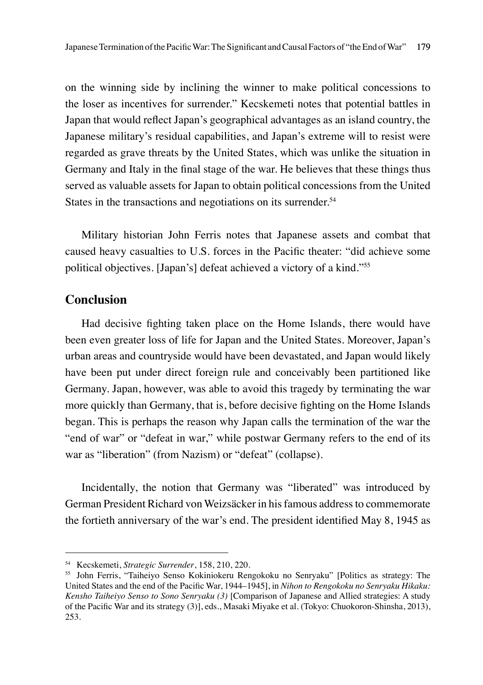on the winning side by inclining the winner to make political concessions to the loser as incentives for surrender." Kecskemeti notes that potential battles in Japan that would reflect Japan's geographical advantages as an island country, the Japanese military's residual capabilities, and Japan's extreme will to resist were regarded as grave threats by the United States, which was unlike the situation in Germany and Italy in the final stage of the war. He believes that these things thus served as valuable assets for Japan to obtain political concessions from the United States in the transactions and negotiations on its surrender.<sup>54</sup>

Military historian John Ferris notes that Japanese assets and combat that caused heavy casualties to U.S. forces in the Pacific theater: "did achieve some political objectives. [Japan's] defeat achieved a victory of a kind."<sup>55</sup>

### **Conclusion**

Had decisive fighting taken place on the Home Islands, there would have been even greater loss of life for Japan and the United States. Moreover, Japan's urban areas and countryside would have been devastated, and Japan would likely have been put under direct foreign rule and conceivably been partitioned like Germany. Japan, however, was able to avoid this tragedy by terminating the war more quickly than Germany, that is, before decisive fighting on the Home Islands began. This is perhaps the reason why Japan calls the termination of the war the "end of war" or "defeat in war," while postwar Germany refers to the end of its war as "liberation" (from Nazism) or "defeat" (collapse).

Incidentally, the notion that Germany was "liberated" was introduced by German President Richard von Weizsäcker in his famous address to commemorate the fortieth anniversary of the war's end. The president identified May 8, 1945 as

<sup>54</sup> Kecskemeti, *Strategic Surrender*, 158, 210, 220.

<sup>55</sup> John Ferris, "Taiheiyo Senso Kokiniokeru Rengokoku no Senryaku" [Politics as strategy: The United States and the end of the Pacific War, 1944–1945], in *Nihon to Rengokoku no Senryaku Hikaku: Kensho Taiheiyo Senso to Sono Senryaku (3)* [Comparison of Japanese and Allied strategies: A study of the Pacific War and its strategy (3)], eds., Masaki Miyake et al. (Tokyo: Chuokoron-Shinsha, 2013), 253.